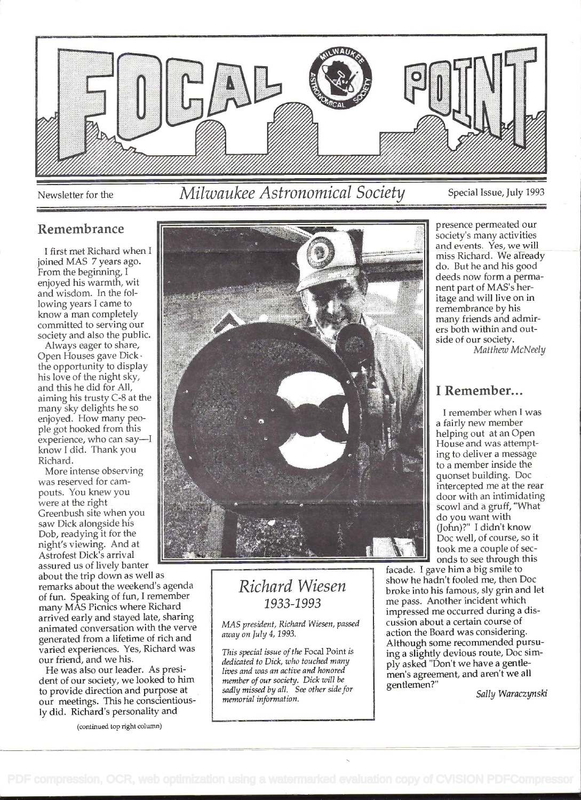

Newsletter for the

# Milwaukee Astronomical Society

Special Issue, July 1993

### Remembrance

I first met Richard when I joined MAS 7 years ago. From the beginning, I enjoyed his warmth, wit and wisdom. In the following years I came to know a man completely committed to serving our society and also the public.

Always eager to share, Open Houses gave Dick · the opportunity to display his love of the night sky, and this he did for All, aiming his trusty C-8 at the many sky delights he so enjoyed. How many people got hooked from this experience, who can say-I know I did. Thank you Richard.

More intense observing was reserved for campouts. You knew you were at the right Greenbush site when you saw Dick alongside his Dob, readying it for the night's viewing. And at Astrofest Dick's arrival assured us of lively banter

about the trip down as well as remarks about the weekend's agenda of fun. Speaking of fun, I remember many MÂS Picnics where Richard arrived early and stayed late, sharing animated conversation with the verve generated from a lifetime of rich and varied experiences. Yes, Richard was our friend, and we his.

He was also our leader. As president of our society, we looked to him to provide direction and purpose at our meetings. This he conscientiously did. Richard's personality and



## Richard Wiesen 1933-1993

MAS president, Richard Wiesen, passed away on July 4, 1993.

This special issue of the Focal Point is dedicated to Dick, who touched many lives and was an active and honored member of our society. Dick will be sadly missed by all. See other side for memorial information.

presence permeated our society's many activities and events. Yes, we will miss Richard. We already do. But he and his good deeds now form a permanent part of MAS's heritage and will live on in remembrance by his many friends and admirers both within and outside of our society. Matthew McNeely

## I Remember...

I remember when I was a fairly new member helping out at an Open House and was attempting to deliver a message to a member inside the quonset building. Doc intercepted me at the rear door with an intimidating scowl and a gruff, "What do you want with (John)?" I didn't know Doc well, of course, so it took me a couple of seconds to see through this

facade. I gave him a big smile to show he hadn't fooled me, then Doc broke into his famous, sly grin and let me pass. Another incident which impressed me occurred during a discussion about a certain course of action the Board was considering. Although some recommended pursuing a slightly devious route, Doc simply asked "Don't we have a gentlemen's agreement, and aren't we all gentlemen?"

Sally Waraczynski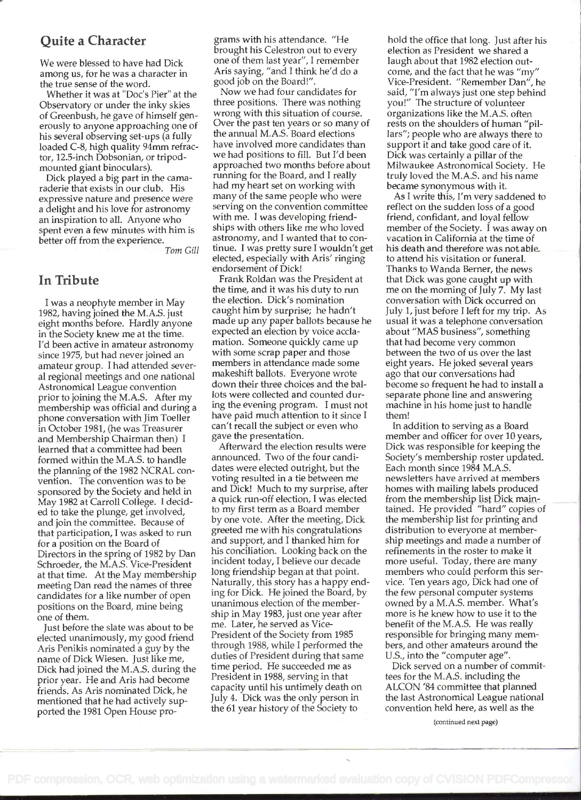### Quite a Character

We were blessed to have had Dick among us, for he was a character in the true sense of the word.

Whether it was at "Doc's Pier" at the Observatory or under the inky skies of Greenbush, he gave of himself generously to anyone approaching one of his several observing set-ups (a fully loaded C-8, high quality 94mm refractor, 12.5-inch Dobsonian, or tripodmounted giant binoculars).

Dick played a big part in the camaraderie that exists in our club. His expressive nature and presence were a delight and his love for astronomy an inspiration to all. Anyone who spent even a few minutes with him is better off from the experience.

Tom Gill

#### In Tribute

I was a neophyte member in May 1982, having joined the M.A.S. just eight months before. Hardly anyone in the Society knew me at the time. I'd been active in amateur astronomy since 1975, but had never joined an amateur group. I had attended several regional meetings and one national Astronomical League convention prior to joining the M.A.S. After my membership was official and during a phone conversation with Jim Toeller in October 1981, (he was Treasurer and Membership Chairman then) I learned that a committee had been formed within the M.A.S. to handle the planning of the 1982 NCRAL convention. The convention was to be sponsored by the Society and held in May 1982 at Carroll College. I decided to take the plunge, get involved, and join the committee. Because of that participation, I was asked to run for a position on the Board of Directors in the spring of 1982 by Dan Schroeder, the M.A.S. Vice-President at that time. At the May membership meeting Dan read the names of three candidates for a like number of open positions on the Board, mine being one of them.

Just before the slate was about to be elected unanimously, my good friend Aris Penikis nominated a guy by the name of Dick Wiesen. Just like me, Dick had joined the M.A.S. during the prior year. He and Aris had become friends. As Aris nominated Dick, he mentioned that he had actively supported the 1981 Open House pro-

grams with his attendance. "He brought his Celestron out to every one of them last year", I remember Ans saying, "and I think he'd do a good job on the Board!".

Now we had four candidates for three positions. There was nothing wrong with this situation of course. Over the past ten years or so many of the annual M.A.S. Board elections have involved more candidates than we had positions to fill. But I'd been approached two months before about running for the Board, and I really had my heart set on working with many of the same people who were serving on the convention committee with me. I was developing friendships with others like me who loved astronomy, and I wanted that to continue. I was pretty sure I wouldn't get elected, especially with Aris' ringing endorsement of Dick!

Frank Roldan was the President at the time, and it was his duty to run the election. Dick's nomination caught him by surprise; he hadn't made up any paper ballots because he expected an election by voice acciamation. Someone quickly came up with some scrap paper and those members in attendance made some makeshift ballots. Everyone wrote down their three choices and the ballots were collected and counted during the evening program. I must not have paid much attention to it since <sup>I</sup> can't recall the subject or even who gave the presentation.

Afterward the election results were announced. Two of the four candidates were elected outright, but the voting resulted in a tie between me and Dick! Much to my surprise, after a quick run-off election, I was elected to my first term as a Board member by one vote. After the meeting, Dick greeted me with his congratulations and support, and I thanked him for his conciliation. Looking back on the incident today, I believe our decade long friendship began at that point. Naturally, this story has a happy ending for Dick. He joined the Board, by unanimous election of the membership in May 1983, just one year after me. Later, he served as Vice-President of the Society from 1985 through 1988, while I performed the duties of President during that same time period. He succeeded me as President in 1988, serving in that capacity until his untimely death on July 4. Dick was the only person in the 61 year history of the Society to

hold the office that long. Just after his election as President we shared a laugh about that 1982 election outcome, and the fact that he was "my" Vice-President. "Remember Dan", he said, "I'm always just one step behind you!" The structure of volunteer organizations like the M.A.S. often rests on the shoulders of human "piilars"; people who are always there to support it and take good care of it. Dick was certainly a pillar of the Milwaukee Astronomical Society. He truly loved the M.A.S. and his name became synonymous with it.

As I write this, I'm very saddened to reflect on the sudden loss of a good friend, confidant, and loyal fellow member of the Society. I was away on vacation in California at the time of his death and therefore was not able to attend his visitation or funeral. Thanks to Wanda Berner, the news that Dick was gone caught up with me on the morning of July 7. My last conversation with Dick occurred on July 1, just before I left for my trip. As usual it was a telephone conversation about "MAS business", something that had become very common between the two of us over the last eight years. He joked several years ago that our conversations had become so frequent he had to install a separate phone line and answering machine in his home just to handle them!

In addition to serving as a Board member and officer for over 10 years, Dick was responsible for keeping the Society's membership roster updated. Each month since 1984 M.A.S. newsletters have arrived at members homes with mailing labels produced from the membership list Dick maintained. He provided "hard" copies of the membership list for printing and distribution to everyone at membership meetings and made a number of refinements in the roster to make it more useful. Today, there are many members who could perform this service. Ten years ago, Dick had one of the few personal computer systems owned by a M.A.S. member. What's more is he knew how to use it to the benefit of the M.A.S. He was really responsible for bringing many members, and other amateurs around the U.S., into the "computer age".

Dick served on a number of committees for the M.A.S. including the ALCON '84 committee that planned the last Astronomical League national convention held here, as well as the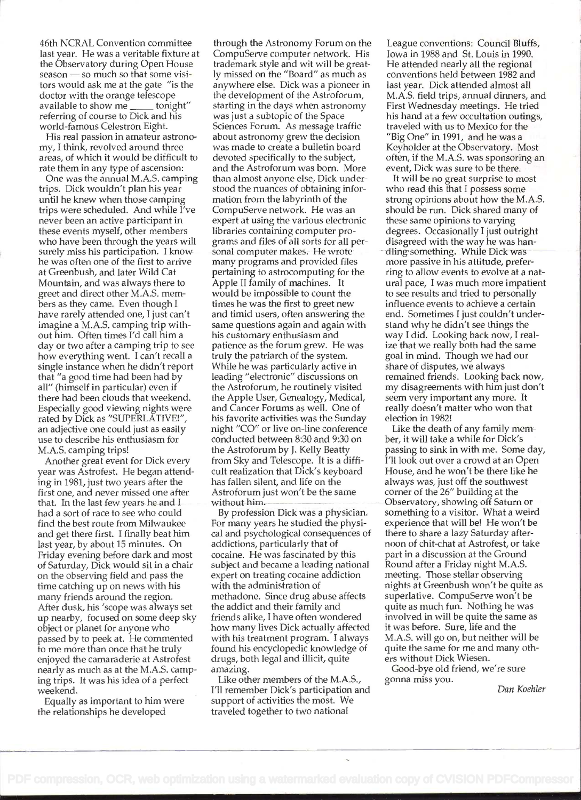46th NCRAL Convention committee last year. He was a veritable fixture at the Observatory during Open House season - so much so that some visitors would ask me at the gate "is the doctor with the orange telescope<br>available to show me \_\_\_\_\_ tonight" available to show me  $<sub>1</sub>$ </sub> referring of course to Dick and his world-famous Celestron Eight.

His real passion in amateur astronomy, I think, revolved around three areas, of which it would be difficult to rate them in any type of ascension:

One was the annual M.A.S. camping trips. Dick wouldn't plan his year until he knew when those camping trips were scheduled. And while I've never been an active participant in these events myself, other members who have been through the years will surely miss his participation. I know he was often one of the first to arrive at Greenbush, and later Wild Cat Mountain, and was always there to greet and direct other M.A.S. members as they came. Even though <sup>I</sup> have rarely attended one, I just can't imagine a M.A.S. camping trip without him. Often times I'd call him a day or two after a camping trip to see how everything went. I can't recall a single instance when he didn't report that "a good time had been had by all" (himself in particular) even if there had been clouds that weekend. Especially good viewing nights were rated by Dick as "SUPERLATIVE!", an adjective one could just as easily use to describe his enthusiasm for M.A.S. camping trips!

Another great event for Dick every year was Astrofest. He began attending in 1981, just two years after the first one, and never missed one after that. In the last few years he and <sup>I</sup> had a sort of race to see who could find the best route from Milwaukee and get there first. I finally beat him last year, by about 15 minutes. On Friday evening before dark and most of Saturday, Dick would sit in a chair on the observing field and pass the time catching up on news with his many friends around the region. After dusk, his 'scope was always set up nearby, focused on some deep sky object or planet for anyone who passed by to peek at. He commented to me more than once that he truly enjoyed the camaraderie at Astrofest nearly as much as at the M.A.S. camping trips. It was his idea of a perfect weekend.

Equally as important to him were the relationships he developed

through the Astronomy Forum on the CompuServe computer network. His trademark style and wit will be greatly missed on the "Board" as much as anywhere else. Dick was a pioneer in the development of the Astroforum, starting in the days when astronomy was just a subtopic of the Space Sciences Forum. As message traffic about astronomy grew the decision was made to create a bulletin board devoted specifically to the subject, and the Astroforum was born. More than almost anyone else, Dick understood the nuances of obtaining information from the labyrinth of the CompuServe network. He was an expert at using the various electronic libraries containing computer programs and files of all sorts for all personal computer makes. He wrote many programs and provided files pertaining to astrocomputing for the Apple II family of machines. It would be impossible to count the times he was the first to greet new and timid users, often answering the same questions again and again with his customary enthusiasm and patience as the forum grew. He was truly the patriarch of the system. While he was particularly active in leading "electronic" discussions on the Astroforum, he routinely visited the Apple User, Genealogy, Medical, and Cancer Forums as well. One of his favorite activities was the Sunday night "CO" or live on-line conference conducted between 8:30 and 9:30 on the Astroforum by J. Kelly Beatty from Sky and Telescope. It is a difficult realization that Dick's keyboard has fallen silent, and life on the Astroforum just won't be the same without him.

By profession Dick was a physician. For many years he studied the physical and psychological consequences of addictions, particularly that of cocaine. He was fascinated by this subject and became a leading national expert on treating cocaine addiction with the administration of methadone. Since drug abuse affects the addict and their family and friends alike, I have often wondered how many lives Dick actually affected with his treatment program. I always found his encyclopedic knowledge of drugs, both legal and illicit, quite amazing.

Like other members of the M.A.S., I'll remember Dick's participation and support of activities the most. We traveled together to two national

League conventions: Council Bluffs, Iowa in 1988 and St. Louis in 1990. He attended nearly all the regional conventions held between 1982 and last year. Dick attended almost all M.A.S. field trips, annual dinners, and First Wednesday meetings. He tried his hand at a few occultation outings, traveled with us to Mexico for the "Big One" in 1991, and he was a Keyholder at the Observatory. Most often, if the M.A.S. was sponsoring an event, Dick was sure to be there.

It will be no great surprise to most who read this that I possess some strong opinions about how the M.A.S. should be run. Dick shared many of these same opinions to varying degrees. Occasionally I just outright disagreed with the way he was handling something. While Dick was more passive in his attitude, preferring to allow events to evolve at a natural pace, I was much more impatient to see results and tried to personally influence events to achieve a certain end. Sometimes I just couldn't understand why he didn't see things the way I did. Looking back now, I realize that we really both had the same goal in mind. Though we had our share of disputes, we always remained friends. Looking back now, my disagreements with him just don't seem very important any more. It really doesn't matter who won that election in 1982!

Like the death of any family member, it will take a while for Dick's passing to sink in with me. Some day, I'll look out over a crowd at an Open House, and he won't be there like he always was, just off the southwest corner of the 26" building at the Observatory, showing off Saturn or something to a visitor. What a weird experience that will be! He won't be there to share a lazy Saturday afternoon of chit-chat at Astrofest, or take part in a discussion at the Ground Round after a Friday night M.A.S. meeting. Those stellar observing nights at Greenbush won't be quite as superlative. CompuServe won't be quite as much fun. Nothing he was involved in will be quite the same as it was before. Sure, life and the M.A.S. will go on, but neither will be quite the same for me and many others without Dick Wiesen.

Good-bye old friend, we're sure gonna miss you.

Dan Koehier